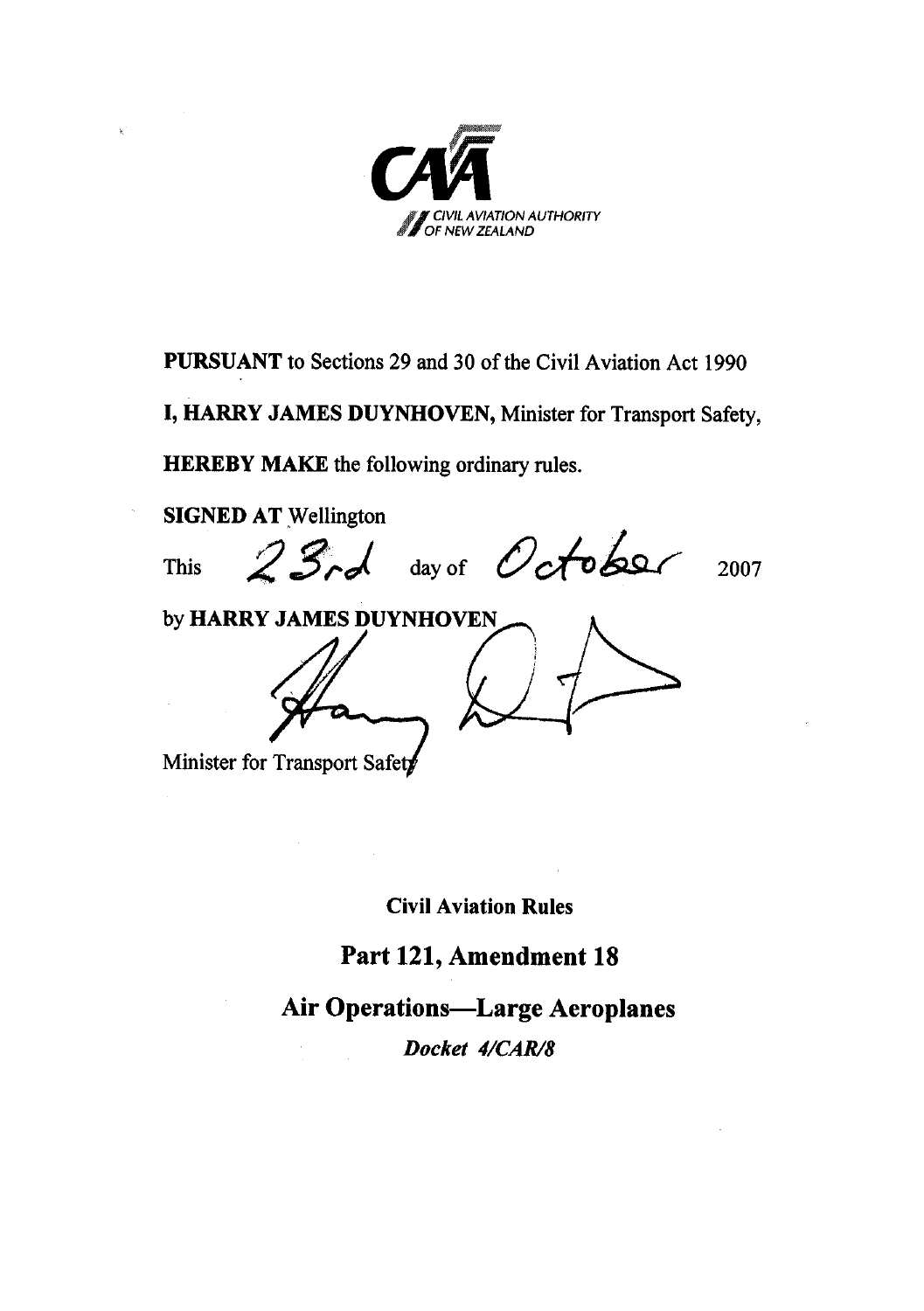

**PURSUANT** to Sections 29 and 30 of the Civil Aviation Act 1990

**I, HARRY JAMES DUYNHOVEN,** Minister for Transport Safety,

**HEREBY MAKE** the following ordinary rules.

**SIGNED AT** Wellington

This  $23rd$  day of October 2007 by **HARRY JAMES DUYNHOVEN** Minister for Transport Safety

**Civil Aviation Rules** 

### **Part 121, Amendment 18**

**Air Operations—Large Aeroplanes** 

*Docket 4/CAR/8*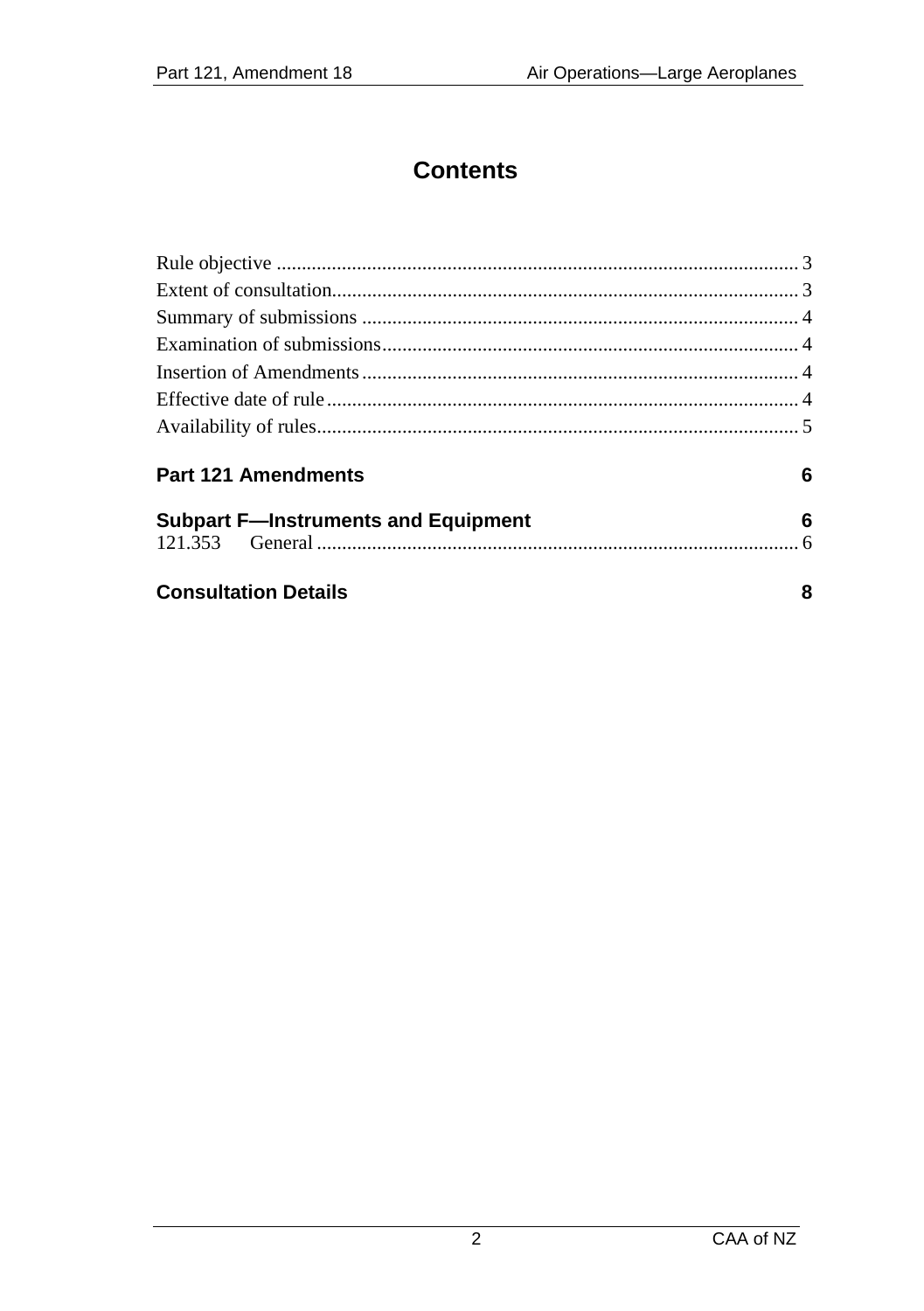## **Contents**

| Part 121 Amendments                        | 6 |
|--------------------------------------------|---|
| <b>Subpart F-Instruments and Equipment</b> | 6 |
| <b>Consultation Details</b>                | 8 |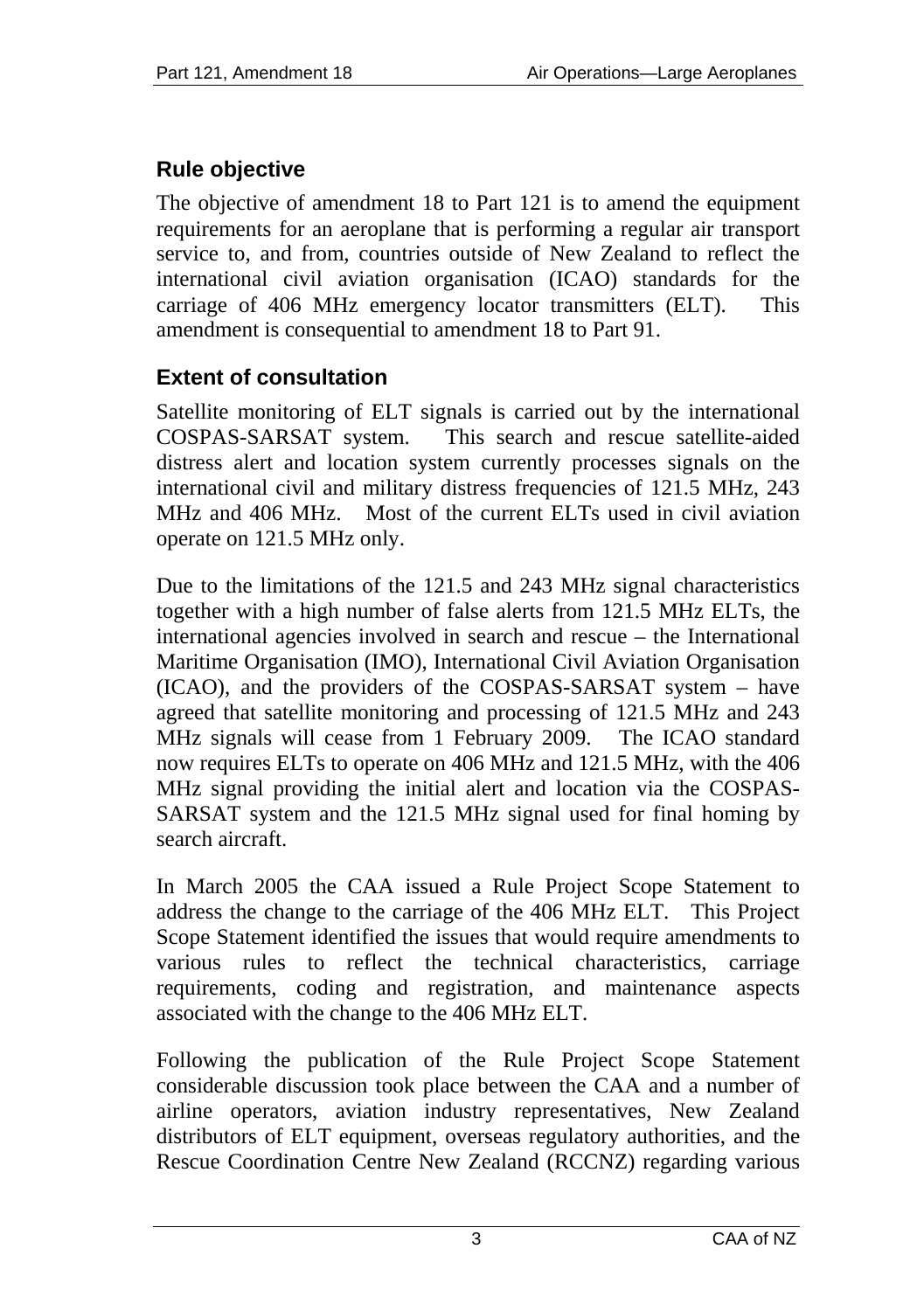### <span id="page-2-0"></span>**Rule objective**

The objective of amendment 18 to Part 121 is to amend the equipment requirements for an aeroplane that is performing a regular air transport service to, and from, countries outside of New Zealand to reflect the international civil aviation organisation (ICAO) standards for the carriage of 406 MHz emergency locator transmitters (ELT). This amendment is consequential to amendment 18 to Part 91.

### **Extent of consultation**

Satellite monitoring of ELT signals is carried out by the international COSPAS-SARSAT system. This search and rescue satellite-aided distress alert and location system currently processes signals on the international civil and military distress frequencies of 121.5 MHz, 243 MHz and 406 MHz. Most of the current ELTs used in civil aviation operate on 121.5 MHz only.

Due to the limitations of the 121.5 and 243 MHz signal characteristics together with a high number of false alerts from 121.5 MHz ELTs, the international agencies involved in search and rescue – the International Maritime Organisation (IMO), International Civil Aviation Organisation (ICAO), and the providers of the COSPAS-SARSAT system – have agreed that satellite monitoring and processing of 121.5 MHz and 243 MHz signals will cease from 1 February 2009. The ICAO standard now requires ELTs to operate on 406 MHz and 121.5 MHz, with the 406 MHz signal providing the initial alert and location via the COSPAS-SARSAT system and the 121.5 MHz signal used for final homing by search aircraft.

In March 2005 the CAA issued a Rule Project Scope Statement to address the change to the carriage of the 406 MHz ELT. This Project Scope Statement identified the issues that would require amendments to various rules to reflect the technical characteristics, carriage requirements, coding and registration, and maintenance aspects associated with the change to the 406 MHz ELT.

Following the publication of the Rule Project Scope Statement considerable discussion took place between the CAA and a number of airline operators, aviation industry representatives, New Zealand distributors of ELT equipment, overseas regulatory authorities, and the Rescue Coordination Centre New Zealand (RCCNZ) regarding various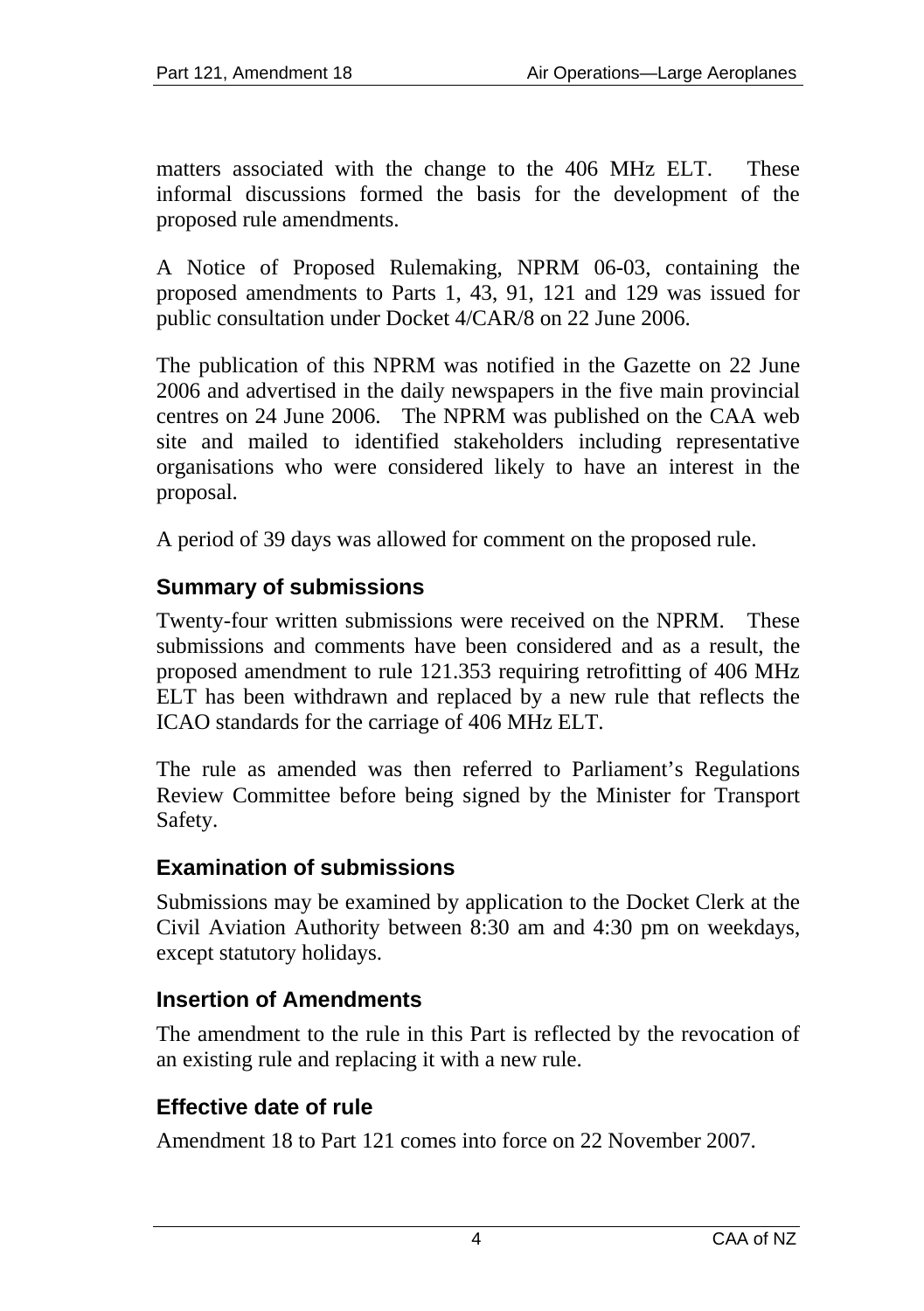<span id="page-3-0"></span>matters associated with the change to the 406 MHz ELT. These informal discussions formed the basis for the development of the proposed rule amendments.

A Notice of Proposed Rulemaking, NPRM 06-03, containing the proposed amendments to Parts 1, 43, 91, 121 and 129 was issued for public consultation under Docket 4/CAR/8 on 22 June 2006.

The publication of this NPRM was notified in the Gazette on 22 June 2006 and advertised in the daily newspapers in the five main provincial centres on 24 June 2006. The NPRM was published on the CAA web site and mailed to identified stakeholders including representative organisations who were considered likely to have an interest in the proposal.

A period of 39 days was allowed for comment on the proposed rule.

#### **Summary of submissions**

Twenty-four written submissions were received on the NPRM. These submissions and comments have been considered and as a result, the proposed amendment to rule 121.353 requiring retrofitting of 406 MHz ELT has been withdrawn and replaced by a new rule that reflects the ICAO standards for the carriage of 406 MHz ELT.

The rule as amended was then referred to Parliament's Regulations Review Committee before being signed by the Minister for Transport Safety.

#### **Examination of submissions**

Submissions may be examined by application to the Docket Clerk at the Civil Aviation Authority between 8:30 am and 4:30 pm on weekdays, except statutory holidays.

#### **Insertion of Amendments**

The amendment to the rule in this Part is reflected by the revocation of an existing rule and replacing it with a new rule.

### **Effective date of rule**

Amendment 18 to Part 121 comes into force on 22 November 2007.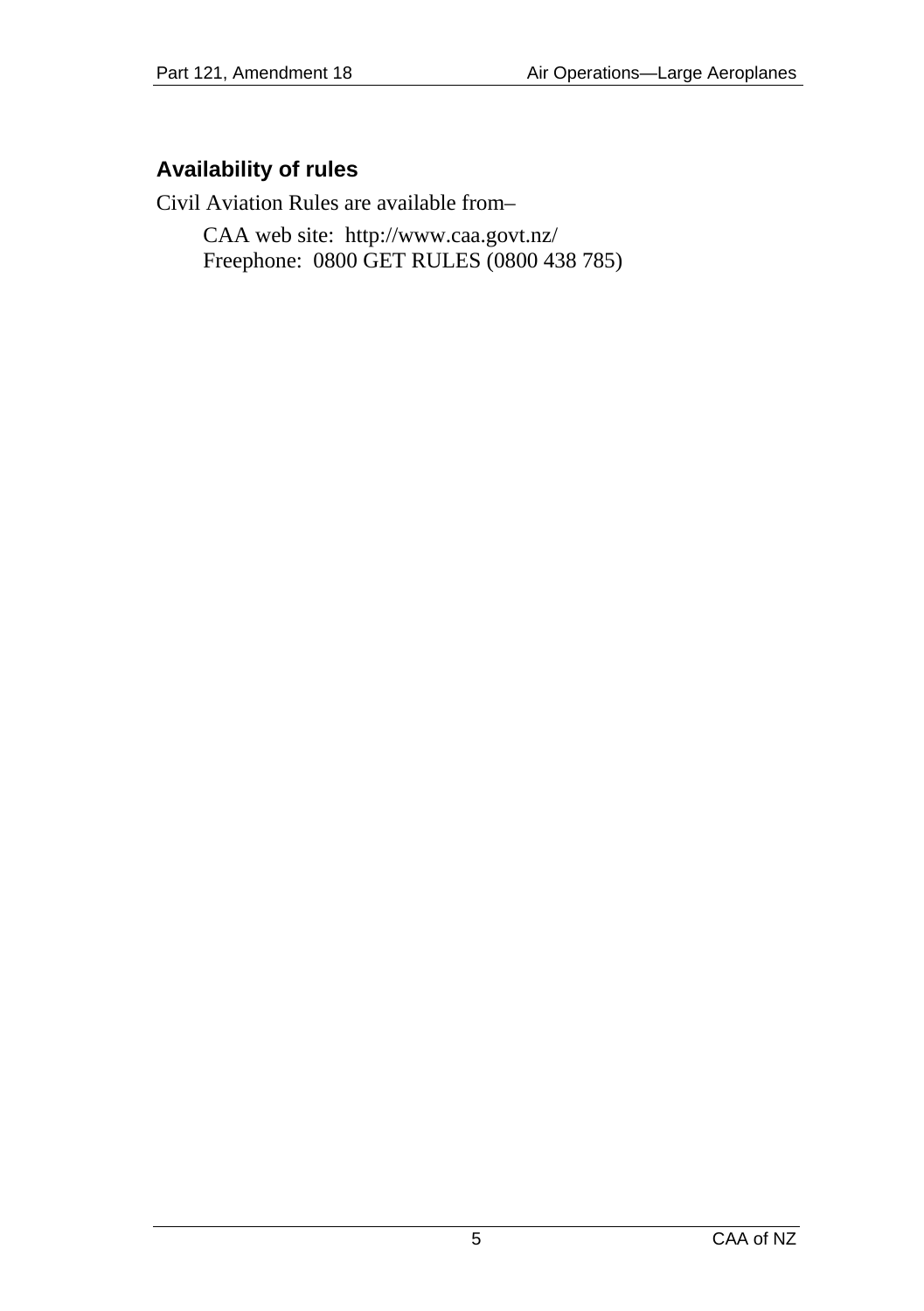### <span id="page-4-0"></span>**Availability of rules**

Civil Aviation Rules are available from–

CAA web site: <http://www.caa.govt.nz/> Freephone: 0800 GET RULES (0800 438 785)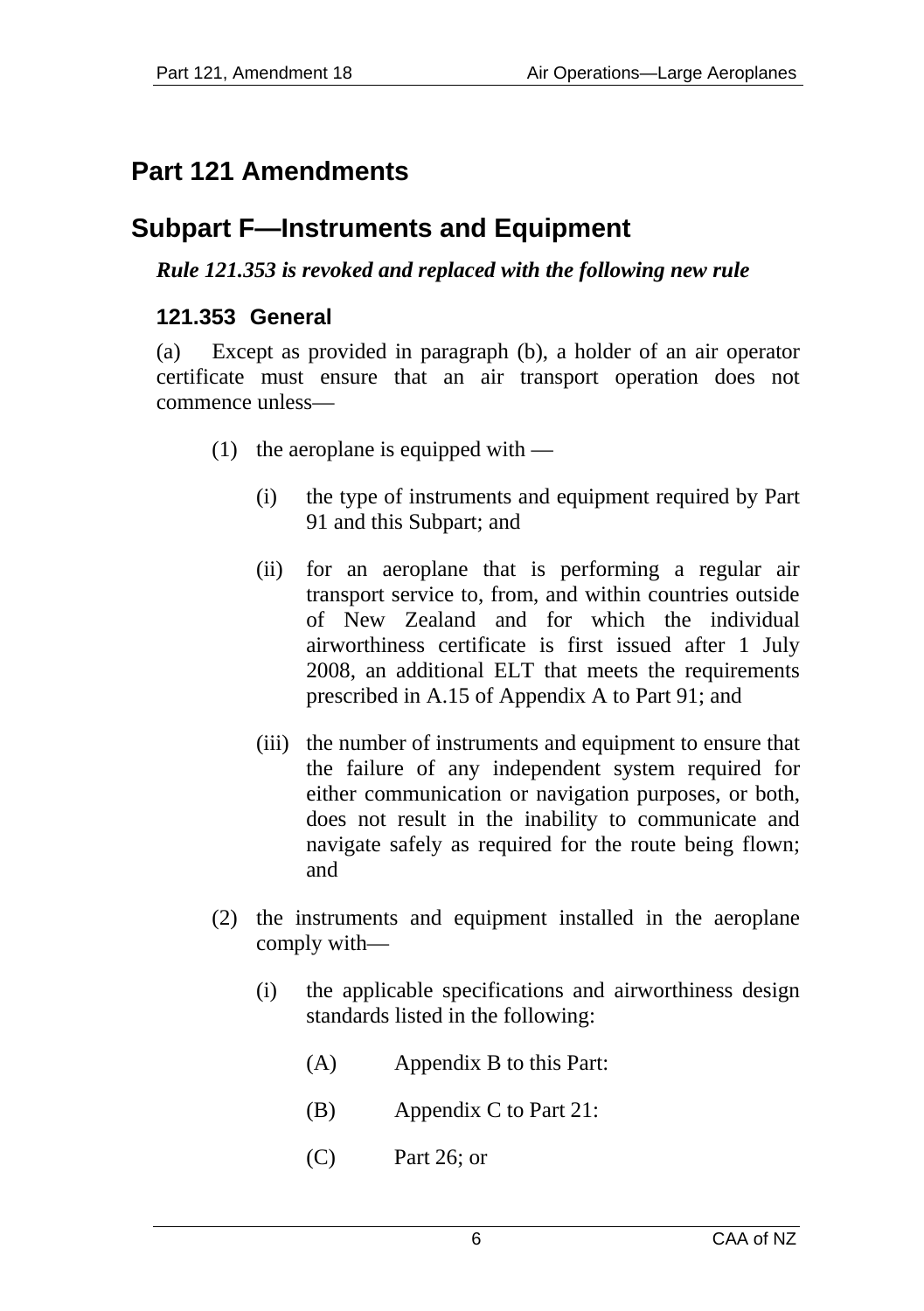# <span id="page-5-0"></span>**Part 121 Amendments**

## **Subpart F—Instruments and Equipment**

#### *Rule 121.353 is revoked and replaced with the following new rule*

#### **121.353 General**

(a) Except as provided in paragraph (b), a holder of an air operator certificate must ensure that an air transport operation does not commence unless—

- $(1)$  the aeroplane is equipped with
	- (i) the type of instruments and equipment required by Part 91 and this Subpart; and
	- (ii) for an aeroplane that is performing a regular air transport service to, from, and within countries outside of New Zealand and for which the individual airworthiness certificate is first issued after 1 July 2008, an additional ELT that meets the requirements prescribed in A.15 of Appendix A to Part 91; and
	- (iii) the number of instruments and equipment to ensure that the failure of any independent system required for either communication or navigation purposes, or both, does not result in the inability to communicate and navigate safely as required for the route being flown; and
- (2) the instruments and equipment installed in the aeroplane comply with—
	- (i) the applicable specifications and airworthiness design standards listed in the following:
		- (A) Appendix B to this Part:
		- (B) Appendix C to Part 21:
		- (C) Part 26; or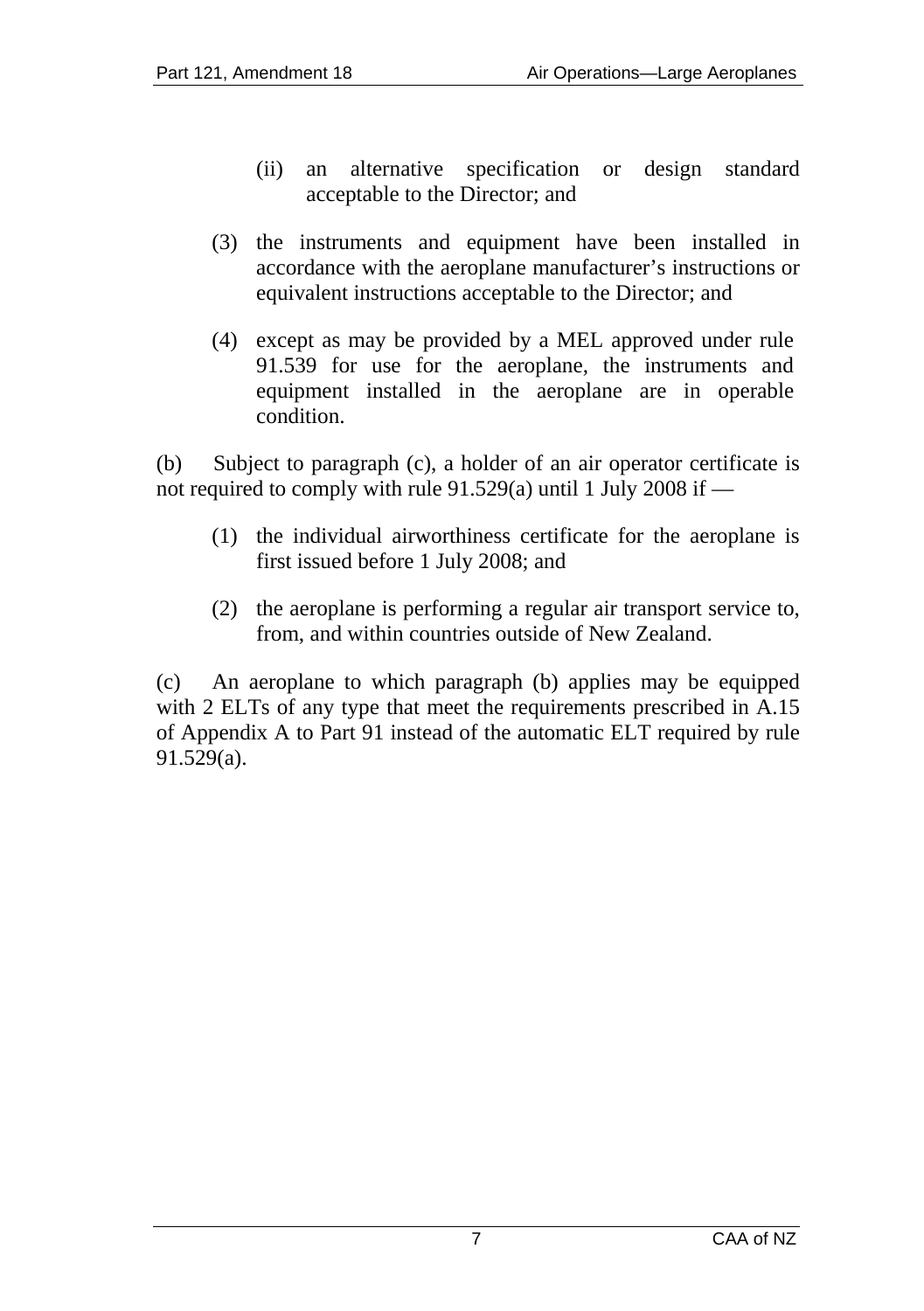- (ii) an alternative specification or design standard acceptable to the Director; and
- (3) the instruments and equipment have been installed in accordance with the aeroplane manufacturer's instructions or equivalent instructions acceptable to the Director; and
- (4) except as may be provided by a MEL approved under rule 91.539 for use for the aeroplane, the instruments and equipment installed in the aeroplane are in operable condition.

(b) Subject to paragraph (c), a holder of an air operator certificate is not required to comply with rule 91.529(a) until 1 July 2008 if —

- (1) the individual airworthiness certificate for the aeroplane is first issued before 1 July 2008; and
- (2) the aeroplane is performing a regular air transport service to, from, and within countries outside of New Zealand.

(c) An aeroplane to which paragraph (b) applies may be equipped with 2 ELTs of any type that meet the requirements prescribed in A.15 of Appendix A to Part 91 instead of the automatic ELT required by rule 91.529(a).